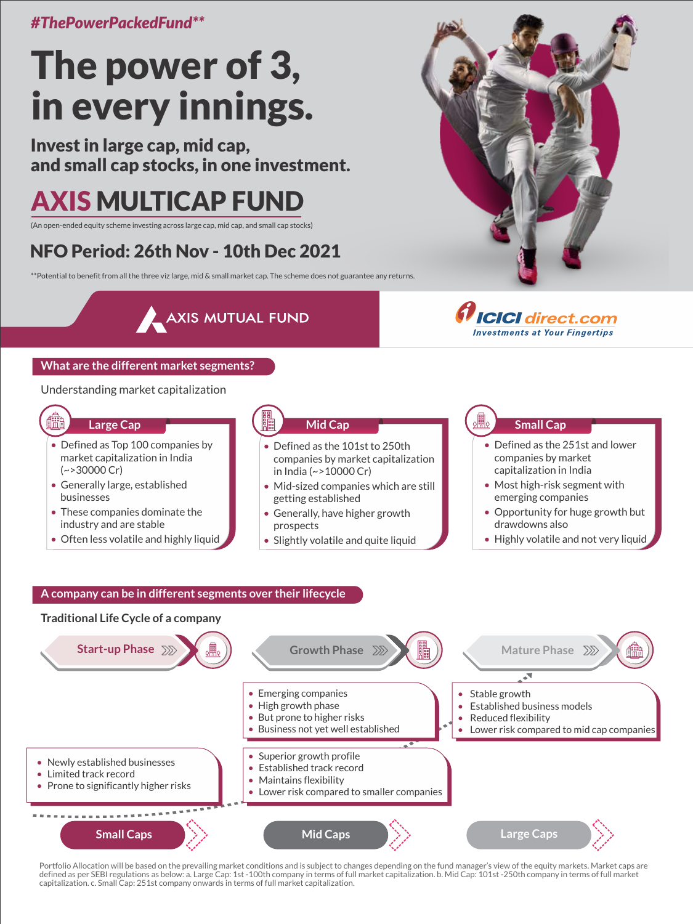*#ThePowerPackedFund\*\**

# The power of 3, in every innings.

Invest in large cap, mid cap, and small cap stocks, in one investment.

## AXIS MULTICAP FUND

(An open-ended equity scheme investing across large cap, mid cap, and small cap stocks)

## NFO Period: 26th Nov - 10th Dec 2021

\*\*Potential to benefit from all the three viz large, mid & small market cap. The scheme does not guarantee any returns.

AXIS MUTUAL FUND



### **What are the different market segments?**

#### Understanding market capitalization

### **Large Cap**

- Defined as Top 100 companies by market capitalization in India (~>30000 Cr)
- Generally large, established businesses
- These companies dominate the industry and are stable
- Often less volatile and highly liquid

## **Mid Cap**

- Defined as the 101st to 250th companies by market capitalization in India (~>10000 Cr)
- Mid-sized companies which are still getting established
- Generally, have higher growth prospects
- Slightly volatile and quite liquid

#### **Small Cap**

**ICICI** direct.com

**Investments at Your Fingertips** 

- Defined as the 251st and lower companies by market capitalization in India
- Most high-risk segment with emerging companies
- Opportunity for huge growth but drawdowns also
- Highly volatile and not very liquid

#### **A company can be in different segments over their lifecycle**



Portfolio Allocation will be based on the prevailing market conditions and is subject to changes depending on the fund manager's view of the equity markets. Market caps are defined as per SEBI regulations as below: a. Large Cap: 1st -100th company in terms of full market capitalization. b. Mid Cap: 101st -250th company in terms of full market capitalization. c. Small Cap: 251st company onwards in terms of full market capitalization.